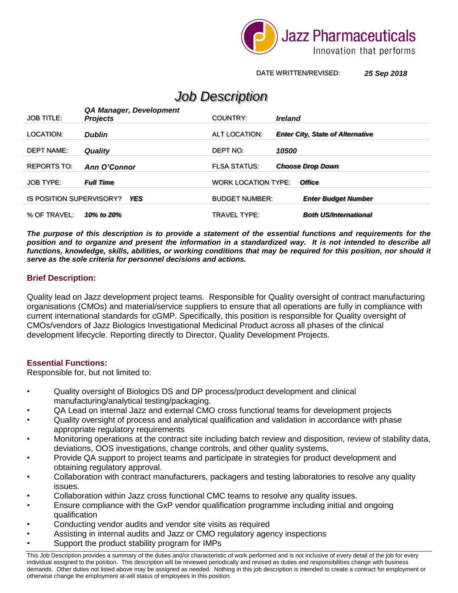

DATE WRITTEN/REVISED: *25 Sep 2018*

# *Job Description*

| <b>JOB TITLE:</b>                      | QA Manager, Development<br><b>Projects</b> | <b>COUNTRY:</b>            | <i><b>Ireland</b></i>                   |
|----------------------------------------|--------------------------------------------|----------------------------|-----------------------------------------|
| LOCATION:                              | <b>Dublin</b>                              | ALT LOCATION:              | <b>Enter City, State of Alternative</b> |
| <b>DEPT NAME:</b>                      | <b>Quality</b>                             | DEPT NO:                   | 10500                                   |
| REPORTS TO:                            | Ann O'Connor                               | <b>FLSA STATUS:</b>        | <b>Choose Drop Down</b>                 |
| <b>JOB TYPE:</b>                       | <b>Full Time</b>                           | <b>WORK LOCATION TYPE:</b> | <b>Office</b>                           |
| IS POSITION SUPERVISORY?<br><b>YES</b> |                                            | <b>BUDGET NUMBER:</b>      | <b>Enter Budget Number</b>              |
| % OF TRAVEL:                           | 10% to 20%                                 | TRAVEL TYPE:               | <b>Both US/International</b>            |

*The purpose of this description is to provide a statement of the essential functions and requirements for the position and to organize and present the information in a standardized way. It is not intended to describe all functions, knowledge, skills, abilities, or working conditions that may be required for this position, nor should it serve as the sole criteria for personnel decisions and actions.*

## **Brief Description:**

Quality lead on Jazz development project teams. Responsible for Quality oversight of contract manufacturing organisations (CMOs) and material/service suppliers to ensure that all operations are fully in compliance with current international standards for cGMP. Specifically, this position is responsible for Quality oversight of CMOs/vendors of Jazz Biologics Investigational Medicinal Product across all phases of the clinical development lifecycle. Reporting directly to Director, Quality Development Projects.

## **Essential Functions:**

Responsible for, but not limited to:

- Quality oversight of Biologics DS and DP process/product development and clinical manufacturing/analytical testing/packaging.
- QA Lead on internal Jazz and external CMO cross functional teams for development projects
- Quality oversight of process and analytical qualification and validation in accordance with phase appropriate regulatory requirements
- Monitoring operations at the contract site including batch review and disposition, review of stability data, deviations, OOS investigations, change controls, and other quality systems.
- Provide QA support to project teams and participate in strategies for product development and obtaining regulatory approval.
- Collaboration with contract manufacturers, packagers and testing laboratories to resolve any quality issues.
- Collaboration within Jazz cross functional CMC teams to resolve any quality issues.
- Ensure compliance with the GxP vendor qualification programme including initial and ongoing qualification
- Conducting vendor audits and vendor site visits as required
- Assisting in internal audits and Jazz or CMO regulatory agency inspections
- Support the product stability program for IMPs

This Job Description provides a summary of the duties and/or characteristic of work performed and is not inclusive of every detail of the job for every individual assigned to the position. This description will be reviewed periodically and revised as duties and responsibilities change with business demands. Other duties not listed above may be assigned as needed. Nothing in this job description is intended to create a contract for employment or otherwise change the employment at-will status of employees in this position.